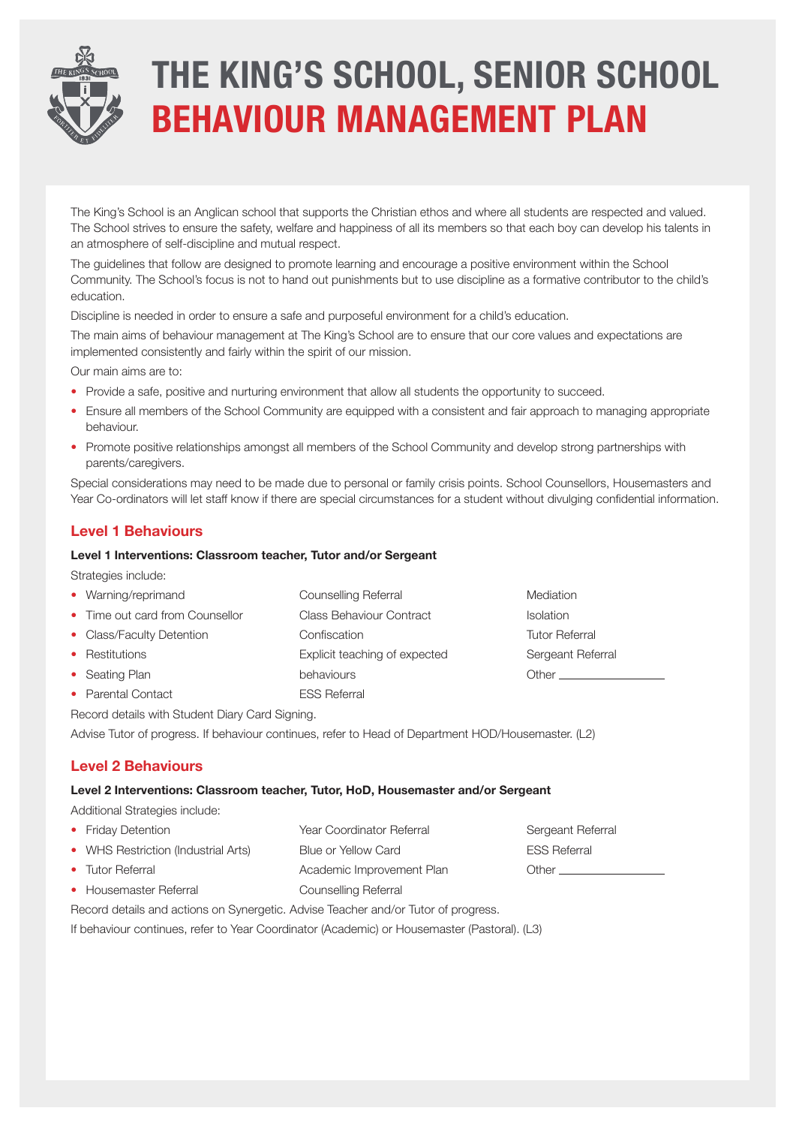

# **THE KING'S SCHOOL, SENIOR SCHOOL BEHAVIOUR MANAGEMENT PLAN**

The King's School is an Anglican school that supports the Christian ethos and where all students are respected and valued. The School strives to ensure the safety, welfare and happiness of all its members so that each boy can develop his talents in an atmosphere of self-discipline and mutual respect.

The guidelines that follow are designed to promote learning and encourage a positive environment within the School Community. The School's focus is not to hand out punishments but to use discipline as a formative contributor to the child's education.

Discipline is needed in order to ensure a safe and purposeful environment for a child's education.

The main aims of behaviour management at The King's School are to ensure that our core values and expectations are implemented consistently and fairly within the spirit of our mission.

Our main aims are to:

- Provide a safe, positive and nurturing environment that allow all students the opportunity to succeed.
- Ensure all members of the School Community are equipped with a consistent and fair approach to managing appropriate behaviour.
- Promote positive relationships amongst all members of the School Community and develop strong partnerships with parents/caregivers.

Special considerations may need to be made due to personal or family crisis points. School Counsellors, Housemasters and Year Co-ordinators will let staff know if there are special circumstances for a student without divulging confidential information.

## **Level 1 Behaviours**

#### **Level 1 Interventions: Classroom teacher, Tutor and/or Sergeant**

Strategies include:

| • Warning/reprimand                             | Counselling Referral            | Mediation             |  |  |
|-------------------------------------------------|---------------------------------|-----------------------|--|--|
| • Time out card from Counsellor                 | <b>Class Behaviour Contract</b> | <b>Isolation</b>      |  |  |
| • Class/Faculty Detention                       | Confiscation                    | <b>Tutor Referral</b> |  |  |
| • Restitutions                                  | Explicit teaching of expected   | Sergeant Referral     |  |  |
| • Seating Plan                                  | behaviours                      | Other                 |  |  |
| • Parental Contact                              | <b>ESS Referral</b>             |                       |  |  |
| Record details with Student Diary Card Signing. |                                 |                       |  |  |

Advise Tutor of progress. If behaviour continues, refer to Head of Department HOD/Housemaster. (L2)

## **Level 2 Behaviours**

### **Level 2 Interventions: Classroom teacher, Tutor, HoD, Housemaster and/or Sergeant**

Additional Strategies include:

| • Friday Detention                  | Year Coordinator Referral | Sergeant Referral   |
|-------------------------------------|---------------------------|---------------------|
| • WHS Restriction (Industrial Arts) | Blue or Yellow Card       | <b>ESS Referral</b> |
| • Tutor Referral                    | Academic Improvement Plan | Other _________     |
| • Housemaster Referral              | Counselling Referral      |                     |

Record details and actions on Synergetic. Advise Teacher and/or Tutor of progress.

If behaviour continues, refer to Year Coordinator (Academic) or Housemaster (Pastoral). (L3)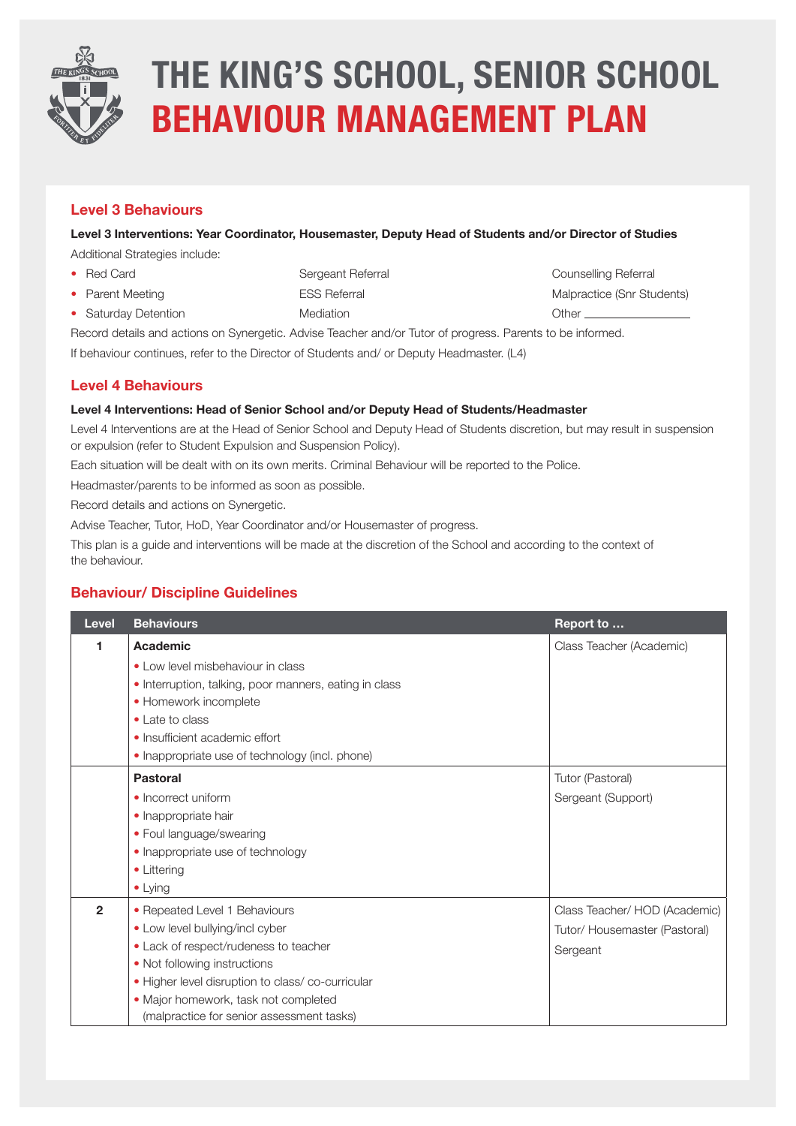

# **THE KING'S SCHOOL, SENIOR SCHOOL BEHAVIOUR MANAGEMENT PLAN**

## **Level 3 Behaviours**

**Level 3 Interventions: Year Coordinator, Housemaster, Deputy Head of Students and/or Director of Studies**

Additional Strategies include:

- 
- Red Card Sergeant Referral Sergeant Referral Sergeant Referral Sergeant Referral Sergean Referral Sergean Referral
- Parent Meeting The ESS Referral The Contractice (Snr Students)
- Saturday Detention **Mediation** Mediation **Other** Determination **Other**

Record details and actions on Synergetic. Advise Teacher and/or Tutor of progress. Parents to be informed.

If behaviour continues, refer to the Director of Students and/ or Deputy Headmaster. (L4)

## **Level 4 Behaviours**

### **Level 4 Interventions: Head of Senior School and/or Deputy Head of Students/Headmaster**

Level 4 Interventions are at the Head of Senior School and Deputy Head of Students discretion, but may result in suspension or expulsion (refer to Student Expulsion and Suspension Policy).

Each situation will be dealt with on its own merits. Criminal Behaviour will be reported to the Police.

Headmaster/parents to be informed as soon as possible.

Record details and actions on Synergetic.

Advise Teacher, Tutor, HoD, Year Coordinator and/or Housemaster of progress.

This plan is a guide and interventions will be made at the discretion of the School and according to the context of the behaviour.

## **Behaviour/ Discipline Guidelines**

| Level          | <b>Behaviours</b>                                      | Report to                     |
|----------------|--------------------------------------------------------|-------------------------------|
| 1              | Academic                                               | Class Teacher (Academic)      |
|                | • Low level misbehaviour in class                      |                               |
|                | • Interruption, talking, poor manners, eating in class |                               |
|                | • Homework incomplete                                  |                               |
|                | • Late to class                                        |                               |
|                | • Insufficient academic effort                         |                               |
|                | • Inappropriate use of technology (incl. phone)        |                               |
|                | <b>Pastoral</b>                                        | Tutor (Pastoral)              |
|                | • Incorrect uniform                                    | Sergeant (Support)            |
|                | • Inappropriate hair                                   |                               |
|                | • Foul language/swearing                               |                               |
|                | • Inappropriate use of technology                      |                               |
|                | • Littering                                            |                               |
|                | $\bullet$ Lying                                        |                               |
| $\overline{2}$ | • Repeated Level 1 Behaviours                          | Class Teacher/ HOD (Academic) |
|                | • Low level bullying/incl cyber                        | Tutor/ Housemaster (Pastoral) |
|                | • Lack of respect/rudeness to teacher                  | Sergeant                      |
|                | • Not following instructions                           |                               |
|                | · Higher level disruption to class/co-curricular       |                               |
|                | · Major homework, task not completed                   |                               |
|                | (malpractice for senior assessment tasks)              |                               |